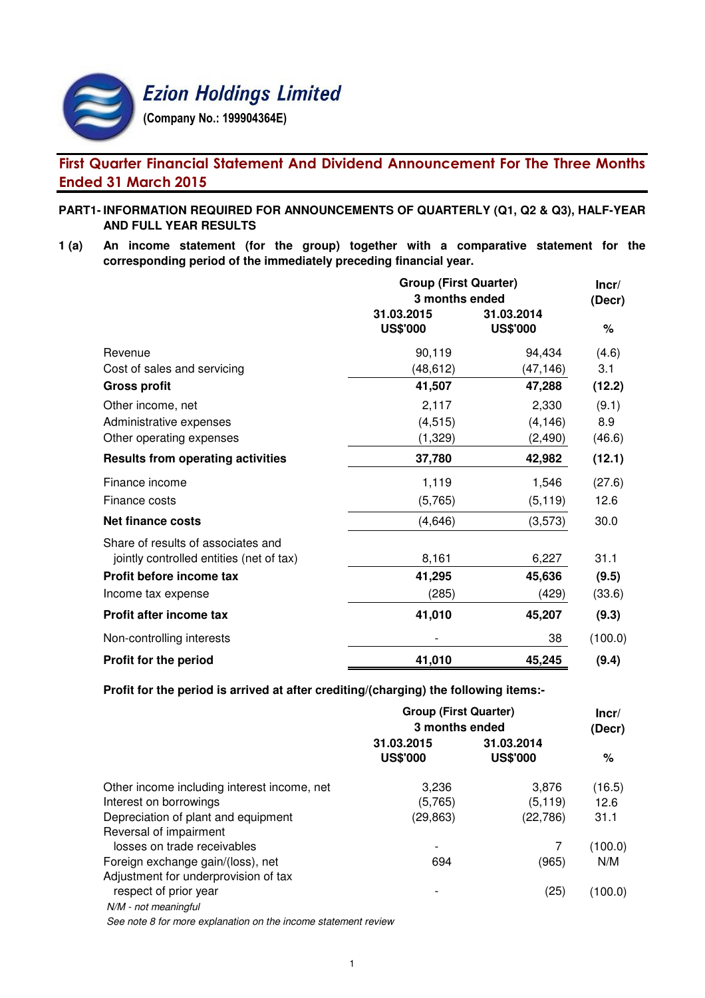

# First Quarter Financial Statement And Dividend Announcement For The Three Months Ended 31 March 2015

## **PART1- INFORMATION REQUIRED FOR ANNOUNCEMENTS OF QUARTERLY (Q1, Q2 & Q3), HALF-YEAR AND FULL YEAR RESULTS**

**1 (a) An income statement (for the group) together with a comparative statement for the corresponding period of the immediately preceding financial year.**

|                                          | <b>Group (First Quarter)</b> | Incr/           |         |
|------------------------------------------|------------------------------|-----------------|---------|
|                                          | 3 months ended               |                 | (Decr)  |
|                                          | 31.03.2015                   | 31.03.2014      |         |
|                                          | <b>US\$'000</b>              | <b>US\$'000</b> | %       |
| Revenue                                  | 90,119                       | 94,434          | (4.6)   |
| Cost of sales and servicing              | (48, 612)                    | (47,146)        | 3.1     |
| <b>Gross profit</b>                      | 41,507                       | 47,288          | (12.2)  |
| Other income, net                        | 2,117                        | 2,330           | (9.1)   |
| Administrative expenses                  | (4, 515)                     | (4, 146)        | 8.9     |
| Other operating expenses                 | (1,329)                      | (2, 490)        | (46.6)  |
| <b>Results from operating activities</b> | 37,780                       | 42,982          | (12.1)  |
| Finance income                           | 1,119                        | 1,546           | (27.6)  |
| Finance costs                            | (5,765)                      | (5, 119)        | 12.6    |
| <b>Net finance costs</b>                 | (4,646)                      | (3, 573)        | 30.0    |
| Share of results of associates and       |                              |                 |         |
| jointly controlled entities (net of tax) | 8,161                        | 6,227           | 31.1    |
| Profit before income tax                 | 41,295                       | 45,636          | (9.5)   |
| Income tax expense                       | (285)                        | (429)           | (33.6)  |
| Profit after income tax                  | 41,010                       | 45,207          | (9.3)   |
| Non-controlling interests                |                              | 38              | (100.0) |
| Profit for the period                    | 41,010                       | 45,245          | (9.4)   |

**Profit for the period is arrived at after crediting/(charging) the following items:-**

|                                             | <b>Group (First Quarter)</b><br>3 months ended |                               |             |  |  |
|---------------------------------------------|------------------------------------------------|-------------------------------|-------------|--|--|
|                                             | 31.03.2015<br><b>US\$'000</b>                  | 31.03.2014<br><b>US\$'000</b> | (Decr)<br>% |  |  |
| Other income including interest income, net | 3,236                                          | 3,876                         | (16.5)      |  |  |
| Interest on borrowings                      | (5,765)                                        | (5, 119)                      | 12.6        |  |  |
| Depreciation of plant and equipment         | (29,863)                                       | (22, 786)                     | 31.1        |  |  |
| Reversal of impairment                      |                                                |                               |             |  |  |
| losses on trade receivables                 |                                                |                               | (100.0)     |  |  |
| Foreign exchange gain/(loss), net           | 694                                            | (965)                         | N/M         |  |  |
| Adjustment for underprovision of tax        |                                                |                               |             |  |  |
| respect of prior year                       |                                                | (25)                          | (100.0)     |  |  |
| N/M - not meaningful                        |                                                |                               |             |  |  |
|                                             |                                                |                               |             |  |  |

See note 8 for more explanation on the income statement review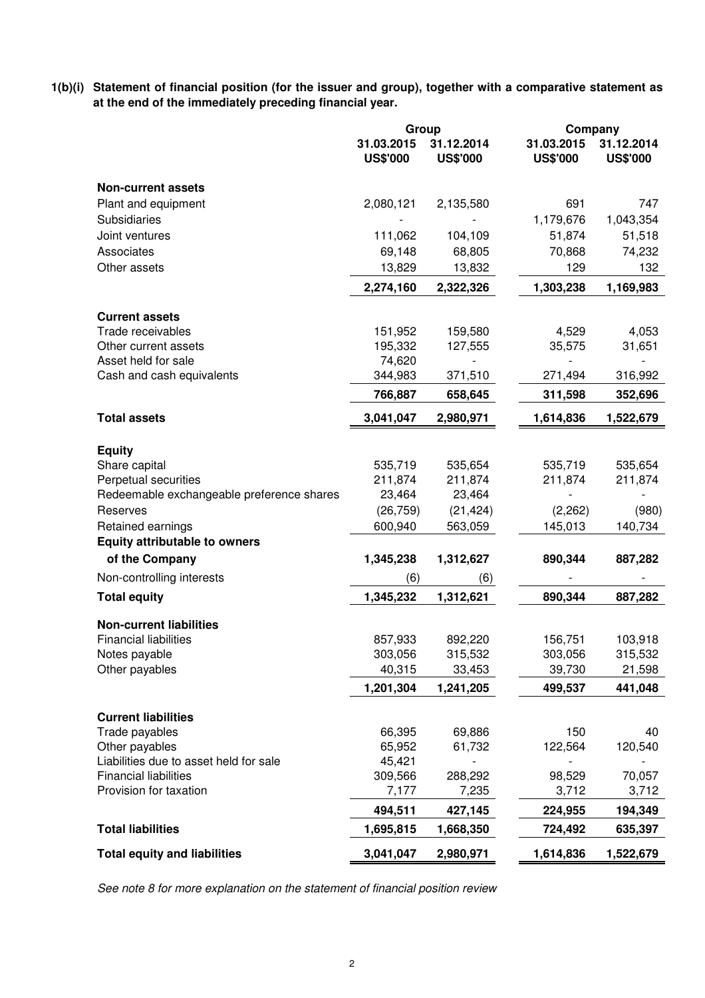**1(b)(i) Statement of financial position (for the issuer and group), together with a comparative statement as at the end of the immediately preceding financial year.**

|                                           | Group                         |                               | Company                       |                               |  |
|-------------------------------------------|-------------------------------|-------------------------------|-------------------------------|-------------------------------|--|
|                                           | 31.03.2015<br><b>US\$'000</b> | 31.12.2014<br><b>US\$'000</b> | 31.03.2015<br><b>US\$'000</b> | 31.12.2014<br><b>US\$'000</b> |  |
| <b>Non-current assets</b>                 |                               |                               |                               |                               |  |
| Plant and equipment                       | 2,080,121                     | 2,135,580                     | 691                           | 747                           |  |
| Subsidiaries                              |                               |                               | 1,179,676                     | 1,043,354                     |  |
| Joint ventures                            | 111,062                       | 104,109                       | 51,874                        | 51,518                        |  |
| Associates                                | 69,148                        | 68,805                        | 70,868                        | 74,232                        |  |
| Other assets                              | 13,829                        | 13,832                        | 129                           | 132                           |  |
|                                           | 2,274,160                     | 2,322,326                     | 1,303,238                     | 1,169,983                     |  |
| <b>Current assets</b>                     |                               |                               |                               |                               |  |
| Trade receivables                         | 151,952                       | 159,580                       | 4,529                         | 4,053                         |  |
| Other current assets                      | 195,332                       | 127,555                       | 35,575                        | 31,651                        |  |
| Asset held for sale                       | 74,620                        |                               |                               |                               |  |
| Cash and cash equivalents                 | 344,983                       | 371,510                       | 271,494                       | 316,992                       |  |
|                                           | 766,887                       | 658,645                       | 311,598                       | 352,696                       |  |
| <b>Total assets</b>                       | 3,041,047                     | 2,980,971                     | 1,614,836                     | 1,522,679                     |  |
|                                           |                               |                               |                               |                               |  |
| <b>Equity</b><br>Share capital            | 535,719                       | 535,654                       | 535,719                       | 535,654                       |  |
| Perpetual securities                      | 211,874                       | 211,874                       | 211,874                       | 211,874                       |  |
| Redeemable exchangeable preference shares | 23,464                        | 23,464                        |                               |                               |  |
| Reserves                                  | (26, 759)                     | (21, 424)                     | (2,262)                       | (980)                         |  |
| Retained earnings                         | 600,940                       | 563,059                       | 145,013                       | 140,734                       |  |
| <b>Equity attributable to owners</b>      |                               |                               |                               |                               |  |
| of the Company                            | 1,345,238                     | 1,312,627                     | 890,344                       | 887,282                       |  |
| Non-controlling interests                 | (6)                           | (6)                           |                               |                               |  |
| <b>Total equity</b>                       | 1,345,232                     | 1,312,621                     | 890,344                       | 887,282                       |  |
| <b>Non-current liabilities</b>            |                               |                               |                               |                               |  |
| <b>Financial liabilities</b>              | 857,933                       | 892,220                       | 156,751                       | 103,918                       |  |
| Notes payable                             | 303,056                       | 315,532                       | 303,056                       | 315,532                       |  |
| Other payables                            | 40,315                        | 33,453                        | 39,730                        | 21,598                        |  |
|                                           | 1,201,304                     | 1,241,205                     | 499,537                       | 441,048                       |  |
| <b>Current liabilities</b>                |                               |                               |                               |                               |  |
| Trade payables                            | 66,395                        | 69,886                        | 150                           | 40                            |  |
| Other payables                            | 65,952                        | 61,732                        | 122,564                       | 120,540                       |  |
| Liabilities due to asset held for sale    | 45,421                        |                               |                               |                               |  |
| <b>Financial liabilities</b>              | 309,566                       | 288,292                       | 98,529                        | 70,057                        |  |
| Provision for taxation                    | 7,177                         | 7,235                         | 3,712                         | 3,712                         |  |
|                                           | 494,511                       | 427,145                       | 224,955                       | 194,349                       |  |
| <b>Total liabilities</b>                  | 1,695,815                     | 1,668,350                     | 724,492                       | 635,397                       |  |
| <b>Total equity and liabilities</b>       | 3,041,047                     | 2,980,971                     | 1,614,836                     | 1,522,679                     |  |

See note 8 for more explanation on the statement of financial position review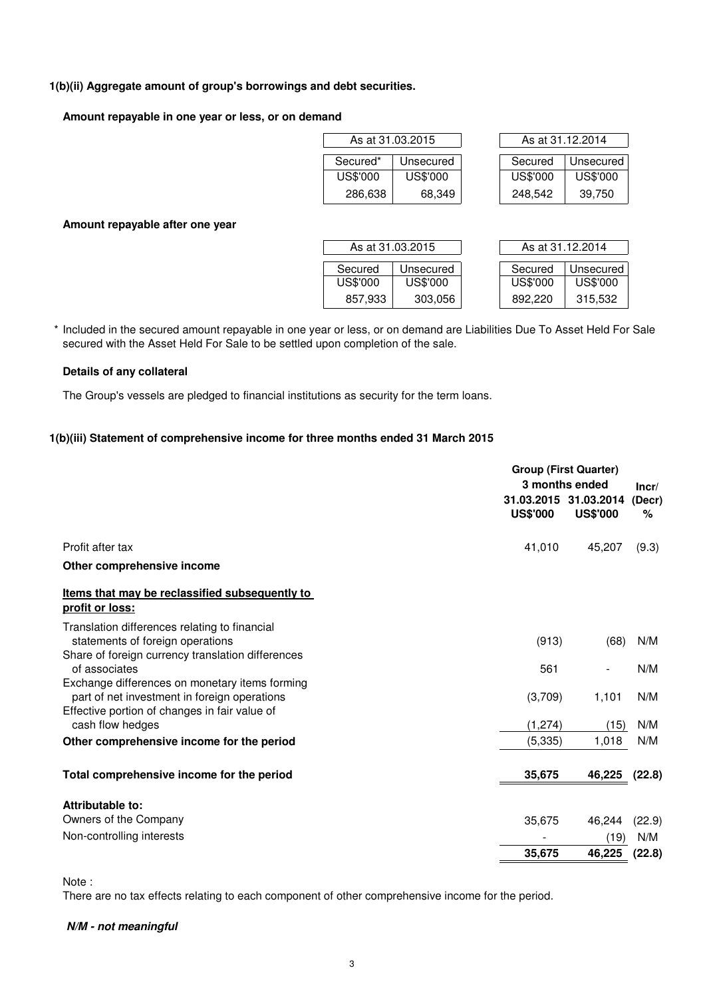## **1(b)(ii) Aggregate amount of group's borrowings and debt securities.**

#### **Amount repayable in one year or less, or on demand**

|          | As at 31.03.2015 | As at 31.12.2014 |          |  |  |  |
|----------|------------------|------------------|----------|--|--|--|
| Secured* | Unsecured        | Secured          | Unsecure |  |  |  |
| US\$'000 | US\$'000         | US\$'000         | US\$'000 |  |  |  |
| 286,638  | 68,349           | 248.542          | 39.750   |  |  |  |

| As at 31.03.2015 |           |  | As at 31.12.2014 |           |  |  |  |
|------------------|-----------|--|------------------|-----------|--|--|--|
| Secured*         | Unsecured |  | Secured          | Unsecured |  |  |  |
| US\$'000         | US\$'000  |  | US\$'000         | US\$'000  |  |  |  |
| 286,638          | 68,349    |  | 248,542          | 39,750    |  |  |  |

**Amount repayable after one year**

| As at 31.03.2015 |           |  | As at 31.12.2014 |           |  |  |
|------------------|-----------|--|------------------|-----------|--|--|
| Secured          | Unsecured |  | Secured          | Unsecured |  |  |
| US\$'000         | US\$'000  |  | US\$'000         | US\$'000  |  |  |
| 857.933          | 303,056   |  | 892.220          | 315,532   |  |  |

| As at 31.12.2014 |           |  |  |  |  |
|------------------|-----------|--|--|--|--|
|                  |           |  |  |  |  |
| Secured          | Unsecured |  |  |  |  |
| US\$'000         | US\$'000  |  |  |  |  |
| 892.220          | 315,532   |  |  |  |  |

\* Included in the secured amount repayable in one year or less, or on demand are Liabilities Due To Asset Held For Sale secured with the Asset Held For Sale to be settled upon completion of the sale.

#### **Details of any collateral**

The Group's vessels are pledged to financial institutions as security for the term loans.

## **1(b)(iii) Statement of comprehensive income for three months ended 31 March 2015**

|                                                                                                                                                 |                 | <b>Group (First Quarter)</b><br>3 months ended |                      |  |  |
|-------------------------------------------------------------------------------------------------------------------------------------------------|-----------------|------------------------------------------------|----------------------|--|--|
|                                                                                                                                                 | <b>US\$'000</b> | 31.03.2015 31.03.2014<br><b>US\$'000</b>       | Incr/<br>(Decr)<br>% |  |  |
| Profit after tax                                                                                                                                | 41,010          | 45,207                                         | (9.3)                |  |  |
| Other comprehensive income                                                                                                                      |                 |                                                |                      |  |  |
| Items that may be reclassified subsequently to<br>profit or loss:                                                                               |                 |                                                |                      |  |  |
| Translation differences relating to financial<br>statements of foreign operations                                                               | (913)           | (68)                                           | N/M                  |  |  |
| Share of foreign currency translation differences<br>of associates                                                                              | 561             |                                                | N/M                  |  |  |
| Exchange differences on monetary items forming<br>part of net investment in foreign operations<br>Effective portion of changes in fair value of | (3,709)         | 1,101                                          | N/M                  |  |  |
| cash flow hedges                                                                                                                                | (1, 274)        | (15)                                           | N/M                  |  |  |
| Other comprehensive income for the period                                                                                                       | (5, 335)        | 1,018                                          | N/M                  |  |  |
| Total comprehensive income for the period                                                                                                       | 35,675          | 46,225                                         | (22.8)               |  |  |
| Attributable to:                                                                                                                                |                 |                                                |                      |  |  |
| Owners of the Company                                                                                                                           | 35,675          | 46,244                                         | (22.9)               |  |  |
| Non-controlling interests                                                                                                                       |                 | (19)                                           | N/M                  |  |  |
|                                                                                                                                                 | 35,675          | 46,225                                         | (22.8)               |  |  |

Note :

There are no tax effects relating to each component of other comprehensive income for the period.

## **N/M - not meaningful**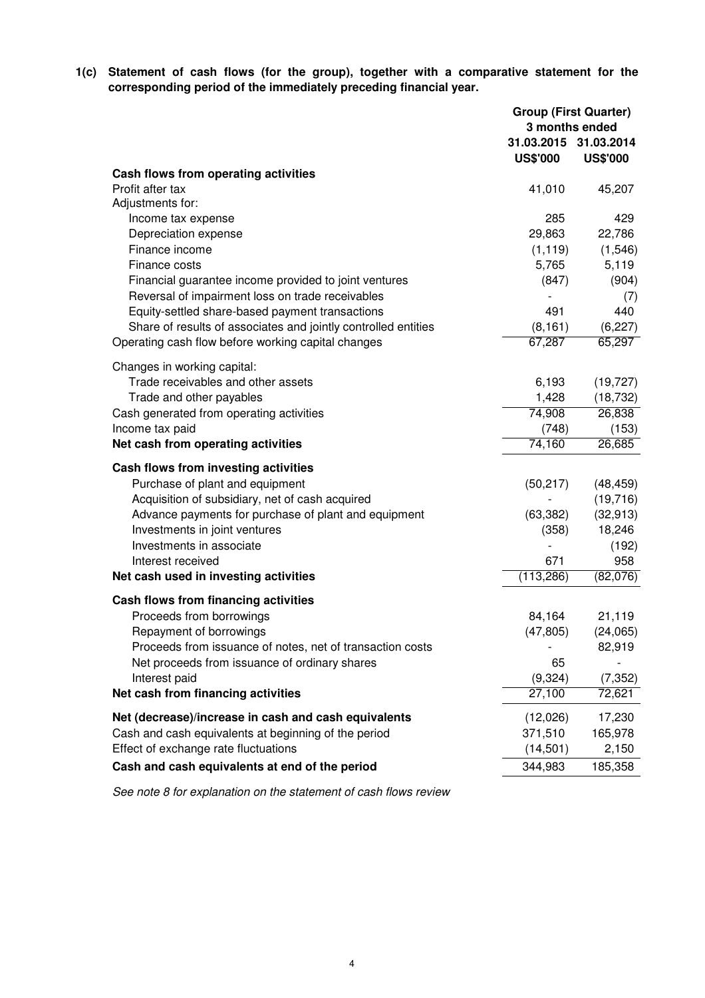**1(c) Statement of cash flows (for the group), together with a comparative statement for the corresponding period of the immediately preceding financial year.**

|                                                                                                                   | <b>Group (First Quarter)</b><br>3 months ended |                                          |  |
|-------------------------------------------------------------------------------------------------------------------|------------------------------------------------|------------------------------------------|--|
|                                                                                                                   | <b>US\$'000</b>                                | 31.03.2015 31.03.2014<br><b>US\$'000</b> |  |
| Cash flows from operating activities                                                                              |                                                |                                          |  |
| Profit after tax                                                                                                  | 41,010                                         | 45,207                                   |  |
| Adjustments for:                                                                                                  |                                                |                                          |  |
| Income tax expense                                                                                                | 285                                            | 429                                      |  |
| Depreciation expense                                                                                              | 29,863                                         | 22,786                                   |  |
| Finance income                                                                                                    | (1, 119)                                       | (1, 546)                                 |  |
| Finance costs                                                                                                     | 5,765                                          | 5,119                                    |  |
| Financial guarantee income provided to joint ventures                                                             | (847)                                          | (904)                                    |  |
| Reversal of impairment loss on trade receivables                                                                  | 491                                            | (7)<br>440                               |  |
| Equity-settled share-based payment transactions<br>Share of results of associates and jointly controlled entities | (8, 161)                                       |                                          |  |
| Operating cash flow before working capital changes                                                                | 67,287                                         | (6, 227)<br>65,297                       |  |
|                                                                                                                   |                                                |                                          |  |
| Changes in working capital:<br>Trade receivables and other assets                                                 | 6,193                                          | (19, 727)                                |  |
| Trade and other payables                                                                                          | 1,428                                          | (18, 732)                                |  |
| Cash generated from operating activities                                                                          | 74,908                                         | 26,838                                   |  |
| Income tax paid                                                                                                   | (748)                                          | (153)                                    |  |
| Net cash from operating activities                                                                                | 74,160                                         | 26,685                                   |  |
| Cash flows from investing activities                                                                              |                                                |                                          |  |
| Purchase of plant and equipment                                                                                   | (50, 217)                                      | (48, 459)                                |  |
| Acquisition of subsidiary, net of cash acquired                                                                   |                                                | (19, 716)                                |  |
| Advance payments for purchase of plant and equipment                                                              | (63, 382)                                      | (32, 913)                                |  |
| Investments in joint ventures                                                                                     | (358)                                          | 18,246                                   |  |
| Investments in associate                                                                                          |                                                | (192)                                    |  |
| Interest received                                                                                                 | 671                                            | 958                                      |  |
| Net cash used in investing activities                                                                             | (113, 286)                                     | (82,076)                                 |  |
| Cash flows from financing activities                                                                              |                                                |                                          |  |
| Proceeds from borrowings                                                                                          | 84,164                                         | 21,119                                   |  |
| Repayment of borrowings                                                                                           | (47, 805)                                      | (24,065)                                 |  |
| Proceeds from issuance of notes, net of transaction costs                                                         |                                                | 82,919                                   |  |
| Net proceeds from issuance of ordinary shares                                                                     | 65                                             |                                          |  |
| Interest paid                                                                                                     | (9,324)                                        | (7, 352)                                 |  |
| Net cash from financing activities                                                                                | 27,100                                         | 72,621                                   |  |
| Net (decrease)/increase in cash and cash equivalents                                                              | (12,026)                                       | 17,230                                   |  |
| Cash and cash equivalents at beginning of the period                                                              | 371,510                                        | 165,978                                  |  |
| Effect of exchange rate fluctuations                                                                              | (14, 501)                                      | 2,150                                    |  |
| Cash and cash equivalents at end of the period                                                                    | 344,983                                        | 185,358                                  |  |

See note 8 for explanation on the statement of cash flows review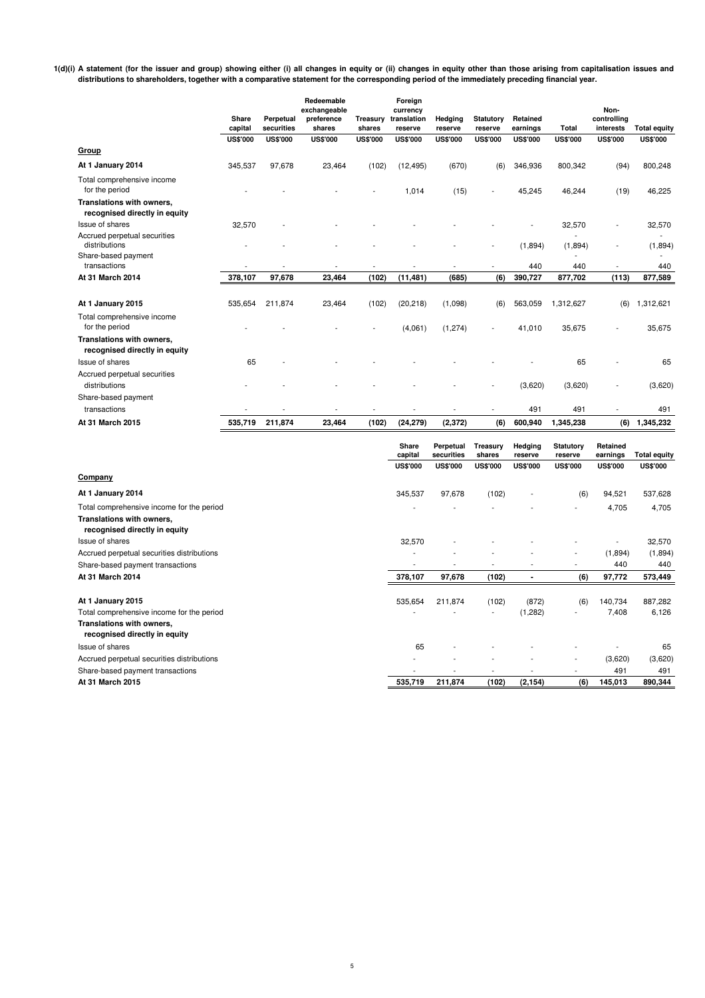**1(d)(i) A statement (for the issuer and group) showing either (i) all changes in equity or (ii) changes in equity other than those arising from capitalisation issues and distributions to shareholders, together with a comparative statement for the corresponding period of the immediately preceding financial year.**

|                                                            |                  |                         | Redeemable<br>exchangeable |                    | Foreign<br>currency    |                    |                             |                      |                 | Non-                     |                     |
|------------------------------------------------------------|------------------|-------------------------|----------------------------|--------------------|------------------------|--------------------|-----------------------------|----------------------|-----------------|--------------------------|---------------------|
|                                                            | Share<br>capital | Perpetual<br>securities | preference<br>shares       | Treasury<br>shares | translation<br>reserve | Hedging<br>reserve | <b>Statutory</b><br>reserve | Retained<br>earnings | Total           | controlling<br>interests | <b>Total equity</b> |
|                                                            | <b>US\$'000</b>  | <b>US\$'000</b>         | <b>US\$'000</b>            | <b>US\$'000</b>    | <b>US\$'000</b>        | <b>US\$'000</b>    | <b>US\$'000</b>             | <b>US\$'000</b>      | <b>US\$'000</b> | <b>US\$'000</b>          | <b>US\$'000</b>     |
| Group                                                      |                  |                         |                            |                    |                        |                    |                             |                      |                 |                          |                     |
| At 1 January 2014                                          | 345,537          | 97,678                  | 23,464                     | (102)              | (12, 495)              | (670)              | (6)                         | 346,936              | 800,342         | (94)                     | 800,248             |
| Total comprehensive income<br>for the period               |                  |                         |                            |                    | 1,014                  | (15)               |                             | 45,245               | 46,244          | (19)                     | 46,225              |
| Translations with owners,                                  |                  |                         |                            |                    |                        |                    |                             |                      |                 |                          |                     |
| recognised directly in equity                              |                  |                         |                            |                    |                        |                    |                             |                      |                 |                          |                     |
| Issue of shares                                            | 32,570           |                         |                            |                    |                        |                    |                             |                      | 32,570          | $\overline{\phantom{a}}$ | 32,570              |
| Accrued perpetual securities<br>distributions              |                  |                         |                            |                    |                        |                    |                             |                      |                 |                          |                     |
| Share-based payment                                        |                  |                         |                            |                    |                        |                    |                             | (1,894)              | (1,894)         | $\overline{\phantom{a}}$ | (1,894)             |
| transactions                                               |                  |                         |                            |                    |                        |                    |                             | 440                  | 440             |                          | 440                 |
| At 31 March 2014                                           | 378,107          | 97,678                  | 23,464                     | (102)              | (11, 481)              | (685)              | (6)                         | 390,727              | 877,702         | (113)                    | 877,589             |
|                                                            |                  |                         |                            |                    |                        |                    |                             |                      |                 |                          |                     |
| At 1 January 2015                                          | 535,654          | 211,874                 | 23,464                     | (102)              | (20, 218)              | (1,098)            | (6)                         | 563,059              | 1,312,627       | (6)                      | 1,312,621           |
| Total comprehensive income                                 |                  |                         |                            |                    |                        |                    |                             |                      |                 |                          |                     |
| for the period                                             |                  |                         |                            |                    | (4,061)                | (1, 274)           |                             | 41,010               | 35,675          |                          | 35,675              |
| Translations with owners,<br>recognised directly in equity |                  |                         |                            |                    |                        |                    |                             |                      |                 |                          |                     |
| Issue of shares                                            | 65               |                         |                            |                    |                        |                    |                             |                      | 65              |                          | 65                  |
| Accrued perpetual securities                               |                  |                         |                            |                    |                        |                    |                             |                      |                 |                          |                     |
| distributions                                              |                  |                         |                            |                    |                        |                    |                             | (3,620)              | (3,620)         |                          | (3,620)             |
| Share-based payment                                        |                  |                         |                            |                    |                        |                    |                             |                      |                 |                          |                     |
| transactions                                               |                  |                         |                            |                    |                        |                    |                             | 491                  | 491             |                          | 491                 |
| At 31 March 2015                                           | 535,719          | 211,874                 | 23,464                     | (102)              | (24, 279)              | (2, 372)           | (6)                         | 600,940              | 1,345,238       | (6)                      | 1,345,232           |

|                                                            | Share<br>capital         | Perpetual<br>securities | Treasurv<br>shares | Hedging<br>reserve | Statutory<br>reserve     | Retained<br>earnings | <b>Total equity</b> |
|------------------------------------------------------------|--------------------------|-------------------------|--------------------|--------------------|--------------------------|----------------------|---------------------|
|                                                            | <b>US\$'000</b>          | <b>US\$'000</b>         | <b>US\$'000</b>    | <b>US\$'000</b>    | <b>US\$'000</b>          | <b>US\$'000</b>      | <b>US\$'000</b>     |
| Company                                                    |                          |                         |                    |                    |                          |                      |                     |
| At 1 January 2014                                          | 345,537                  | 97,678                  | (102)              | ٠                  | (6)                      | 94,521               | 537,628             |
| Total comprehensive income for the period                  |                          |                         |                    |                    | $\overline{\phantom{a}}$ | 4,705                | 4,705               |
| Translations with owners,<br>recognised directly in equity |                          |                         |                    |                    |                          |                      |                     |
| Issue of shares                                            | 32,570                   |                         |                    |                    |                          |                      | 32,570              |
| Accrued perpetual securities distributions                 |                          |                         |                    |                    | $\overline{\phantom{a}}$ | (1,894)              | (1,894)             |
| Share-based payment transactions                           | $\overline{\phantom{a}}$ |                         |                    |                    |                          | 440                  | 440                 |
| At 31 March 2014                                           | 378,107                  | 97,678                  | (102)              |                    | (6)                      | 97,772               | 573,449             |
| At 1 January 2015                                          | 535,654                  | 211,874                 | (102)              | (872)              | (6)                      | 140,734              | 887,282             |
| Total comprehensive income for the period                  |                          |                         | $\sim$             | (1,282)            | ٠                        | 7,408                | 6,126               |
| Translations with owners,<br>recognised directly in equity |                          |                         |                    |                    |                          |                      |                     |
| Issue of shares                                            | 65                       |                         |                    |                    |                          |                      | 65                  |
| Accrued perpetual securities distributions                 |                          |                         |                    |                    | $\overline{\phantom{a}}$ | (3,620)              | (3,620)             |
| Share-based payment transactions                           |                          |                         |                    |                    |                          | 491                  | 491                 |
| At 31 March 2015                                           | 535,719                  | 211,874                 | (102)              | (2, 154)           | (6)                      | 145,013              | 890,344             |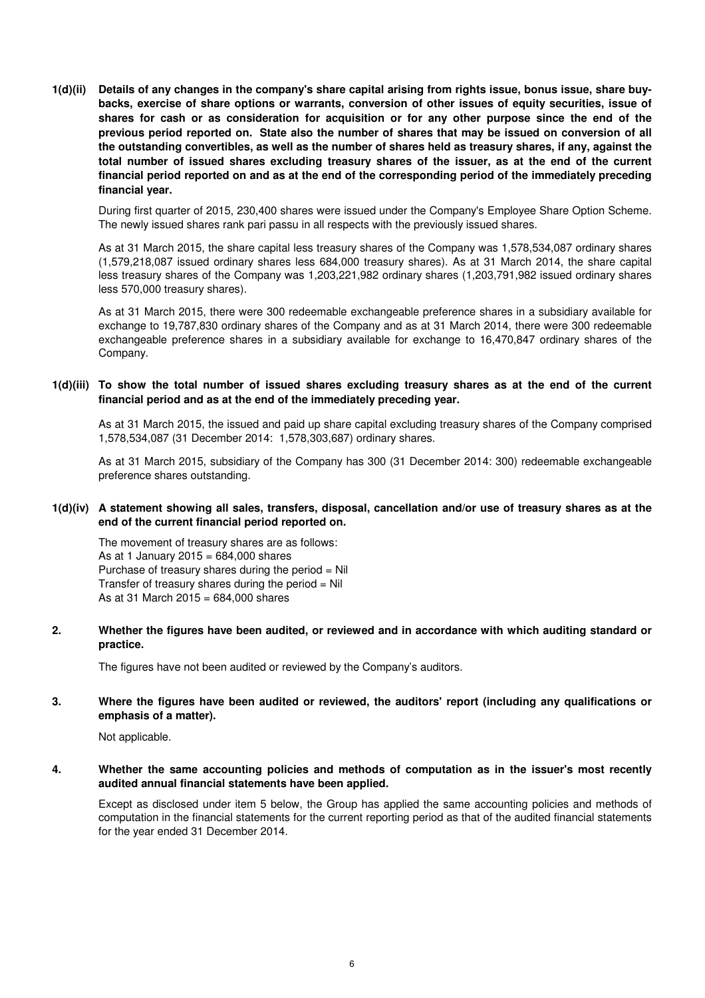**1(d)(ii) Details of any changes in the company's share capital arising from rights issue, bonus issue, share buybacks, exercise of share options or warrants, conversion of other issues of equity securities, issue of shares for cash or as consideration for acquisition or for any other purpose since the end of the previous period reported on. State also the number of shares that may be issued on conversion of all the outstanding convertibles, as well as the number of shares held as treasury shares, if any, against the total number of issued shares excluding treasury shares of the issuer, as at the end of the current financial period reported on and as at the end of the corresponding period of the immediately preceding financial year.**

During first quarter of 2015, 230,400 shares were issued under the Company's Employee Share Option Scheme. The newly issued shares rank pari passu in all respects with the previously issued shares.

As at 31 March 2015, the share capital less treasury shares of the Company was 1,578,534,087 ordinary shares (1,579,218,087 issued ordinary shares less 684,000 treasury shares). As at 31 March 2014, the share capital less treasury shares of the Company was 1,203,221,982 ordinary shares (1,203,791,982 issued ordinary shares less 570,000 treasury shares).

As at 31 March 2015, there were 300 redeemable exchangeable preference shares in a subsidiary available for exchange to 19,787,830 ordinary shares of the Company and as at 31 March 2014, there were 300 redeemable exchangeable preference shares in a subsidiary available for exchange to 16,470,847 ordinary shares of the Company.

#### **1(d)(iii) To show the total number of issued shares excluding treasury shares as at the end of the current financial period and as at the end of the immediately preceding year.**

As at 31 March 2015, the issued and paid up share capital excluding treasury shares of the Company comprised 1,578,534,087 (31 December 2014: 1,578,303,687) ordinary shares.

As at 31 March 2015, subsidiary of the Company has 300 (31 December 2014: 300) redeemable exchangeable preference shares outstanding.

#### **1(d)(iv) A statement showing all sales, transfers, disposal, cancellation and/or use of treasury shares as at the end of the current financial period reported on.**

The movement of treasury shares are as follows: As at 1 January 2015 = 684,000 shares Purchase of treasury shares during the period = Nil Transfer of treasury shares during the period  $=$  Nil As at 31 March 2015 =  $684,000$  shares

**2. Whether the figures have been audited, or reviewed and in accordance with which auditing standard or practice.**

The figures have not been audited or reviewed by the Company's auditors.

#### **3. Where the figures have been audited or reviewed, the auditors' report (including any qualifications or emphasis of a matter).**

Not applicable.

**4. Whether the same accounting policies and methods of computation as in the issuer's most recently audited annual financial statements have been applied.**

Except as disclosed under item 5 below, the Group has applied the same accounting policies and methods of computation in the financial statements for the current reporting period as that of the audited financial statements for the year ended 31 December 2014.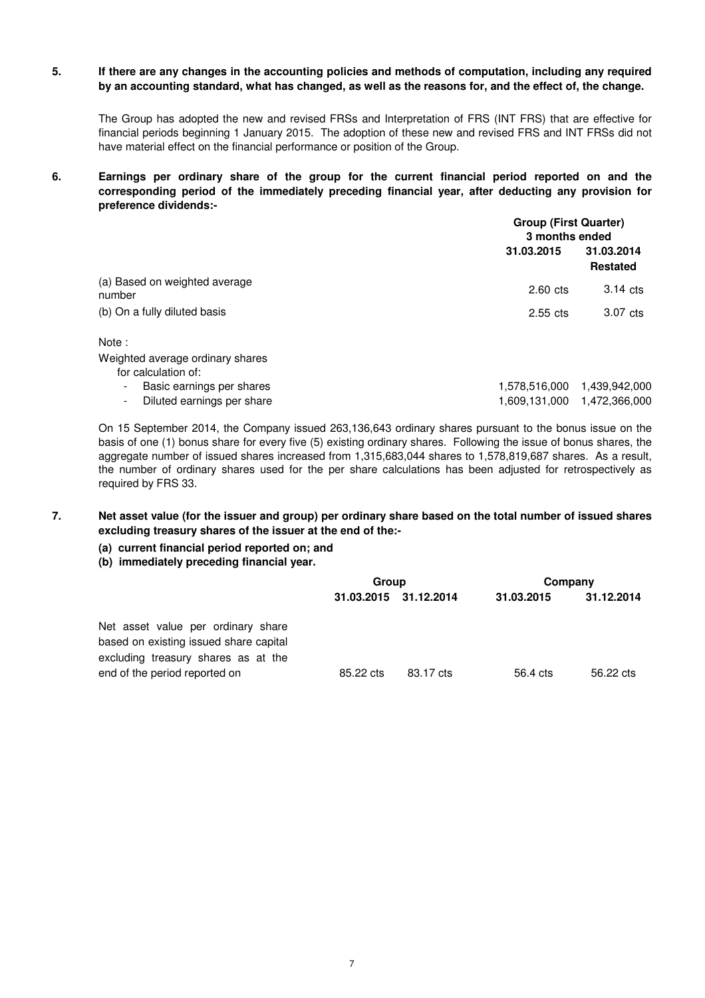#### **5. If there are any changes in the accounting policies and methods of computation, including any required by an accounting standard, what has changed, as well as the reasons for, and the effect of, the change.**

The Group has adopted the new and revised FRSs and Interpretation of FRS (INT FRS) that are effective for financial periods beginning 1 January 2015. The adoption of these new and revised FRS and INT FRSs did not have material effect on the financial performance or position of the Group.

**6. Earnings per ordinary share of the group for the current financial period reported on and the corresponding period of the immediately preceding financial year, after deducting any provision for preference dividends:-**

|                                                         | <b>Group (First Quarter)</b><br>3 months ended |                               |  |
|---------------------------------------------------------|------------------------------------------------|-------------------------------|--|
|                                                         | 31.03.2015                                     | 31.03.2014<br><b>Restated</b> |  |
| (a) Based on weighted average<br>number                 | $2.60$ cts                                     | $3.14$ cts                    |  |
| (b) On a fully diluted basis                            | $2.55$ cts                                     | 3.07 cts                      |  |
| Note:                                                   |                                                |                               |  |
| Weighted average ordinary shares<br>for calculation of: |                                                |                               |  |
| Basic earnings per shares<br>$\blacksquare$             | 1,578,516,000                                  | 1,439,942,00                  |  |

| - Basic earnings per shares  |                             |  |
|------------------------------|-----------------------------|--|
| - Diluted earnings per share | 1,609,131,000 1,472,366,000 |  |

On 15 September 2014, the Company issued 263,136,643 ordinary shares pursuant to the bonus issue on the basis of one (1) bonus share for every five (5) existing ordinary shares. Following the issue of bonus shares, the aggregate number of issued shares increased from 1,315,683,044 shares to 1,578,819,687 shares. As a result, the number of ordinary shares used for the per share calculations has been adjusted for retrospectively as required by FRS 33.

- **7. Net asset value (for the issuer and group) per ordinary share based on the total number of issued shares excluding treasury shares of the issuer at the end of the:-** 
	- **(a) current financial period reported on; and**
	- **(b) immediately preceding financial year.**

|                                                                                                                     | Group     |                       | Company    |            |
|---------------------------------------------------------------------------------------------------------------------|-----------|-----------------------|------------|------------|
|                                                                                                                     |           | 31.03.2015 31.12.2014 | 31.03.2015 | 31.12.2014 |
| Net asset value per ordinary share<br>based on existing issued share capital<br>excluding treasury shares as at the |           |                       |            |            |
| end of the period reported on                                                                                       | 85.22 cts | 83.17 cts             | 56.4 cts   | 56.22 cts  |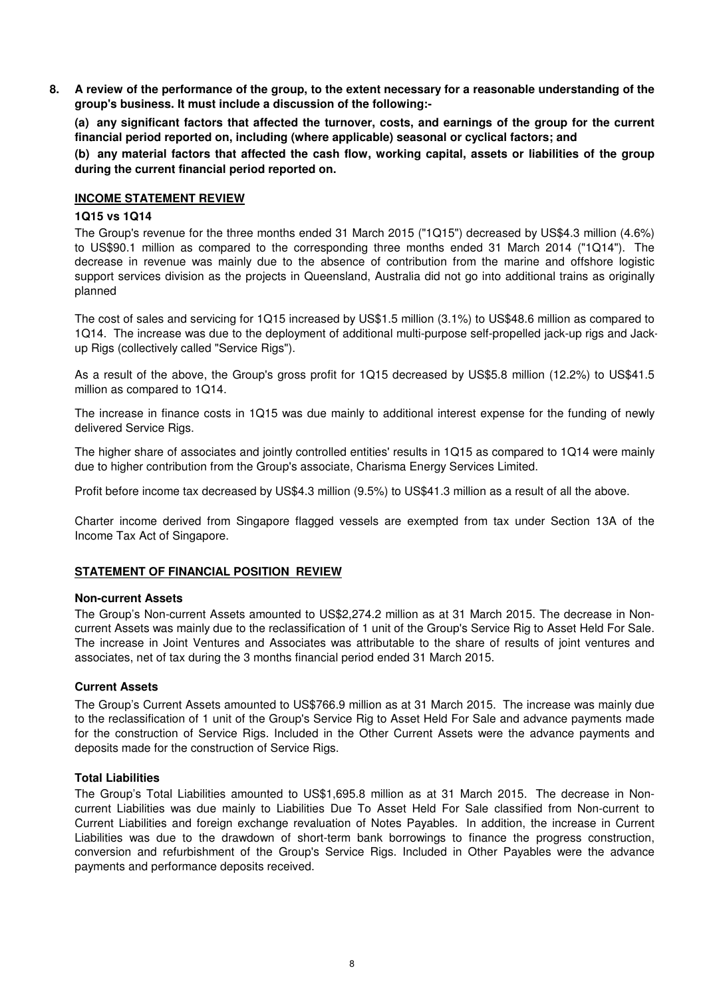**8. A review of the performance of the group, to the extent necessary for a reasonable understanding of the group's business. It must include a discussion of the following:-** 

**(a) any significant factors that affected the turnover, costs, and earnings of the group for the current financial period reported on, including (where applicable) seasonal or cyclical factors; and**

**(b) any material factors that affected the cash flow, working capital, assets or liabilities of the group during the current financial period reported on.**

## **INCOME STATEMENT REVIEW**

#### **1Q15 vs 1Q14**

The Group's revenue for the three months ended 31 March 2015 ("1Q15") decreased by US\$4.3 million (4.6%) to US\$90.1 million as compared to the corresponding three months ended 31 March 2014 ("1Q14"). The decrease in revenue was mainly due to the absence of contribution from the marine and offshore logistic support services division as the projects in Queensland, Australia did not go into additional trains as originally planned

The cost of sales and servicing for 1Q15 increased by US\$1.5 million (3.1%) to US\$48.6 million as compared to 1Q14. The increase was due to the deployment of additional multi-purpose self-propelled jack-up rigs and Jackup Rigs (collectively called "Service Rigs").

As a result of the above, the Group's gross profit for 1Q15 decreased by US\$5.8 million (12.2%) to US\$41.5 million as compared to 1Q14.

The increase in finance costs in 1Q15 was due mainly to additional interest expense for the funding of newly delivered Service Rigs.

The higher share of associates and jointly controlled entities' results in 1Q15 as compared to 1Q14 were mainly due to higher contribution from the Group's associate, Charisma Energy Services Limited.

Profit before income tax decreased by US\$4.3 million (9.5%) to US\$41.3 million as a result of all the above.

Charter income derived from Singapore flagged vessels are exempted from tax under Section 13A of the Income Tax Act of Singapore.

## **STATEMENT OF FINANCIAL POSITION REVIEW**

#### **Non-current Assets**

The Group's Non-current Assets amounted to US\$2,274.2 million as at 31 March 2015. The decrease in Noncurrent Assets was mainly due to the reclassification of 1 unit of the Group's Service Rig to Asset Held For Sale. The increase in Joint Ventures and Associates was attributable to the share of results of joint ventures and associates, net of tax during the 3 months financial period ended 31 March 2015.

#### **Current Assets**

The Group's Current Assets amounted to US\$766.9 million as at 31 March 2015. The increase was mainly due to the reclassification of 1 unit of the Group's Service Rig to Asset Held For Sale and advance payments made for the construction of Service Rigs. Included in the Other Current Assets were the advance payments and deposits made for the construction of Service Rigs.

#### **Total Liabilities**

The Group's Total Liabilities amounted to US\$1,695.8 million as at 31 March 2015. The decrease in Noncurrent Liabilities was due mainly to Liabilities Due To Asset Held For Sale classified from Non-current to Current Liabilities and foreign exchange revaluation of Notes Payables. In addition, the increase in Current Liabilities was due to the drawdown of short-term bank borrowings to finance the progress construction, conversion and refurbishment of the Group's Service Rigs. Included in Other Payables were the advance payments and performance deposits received.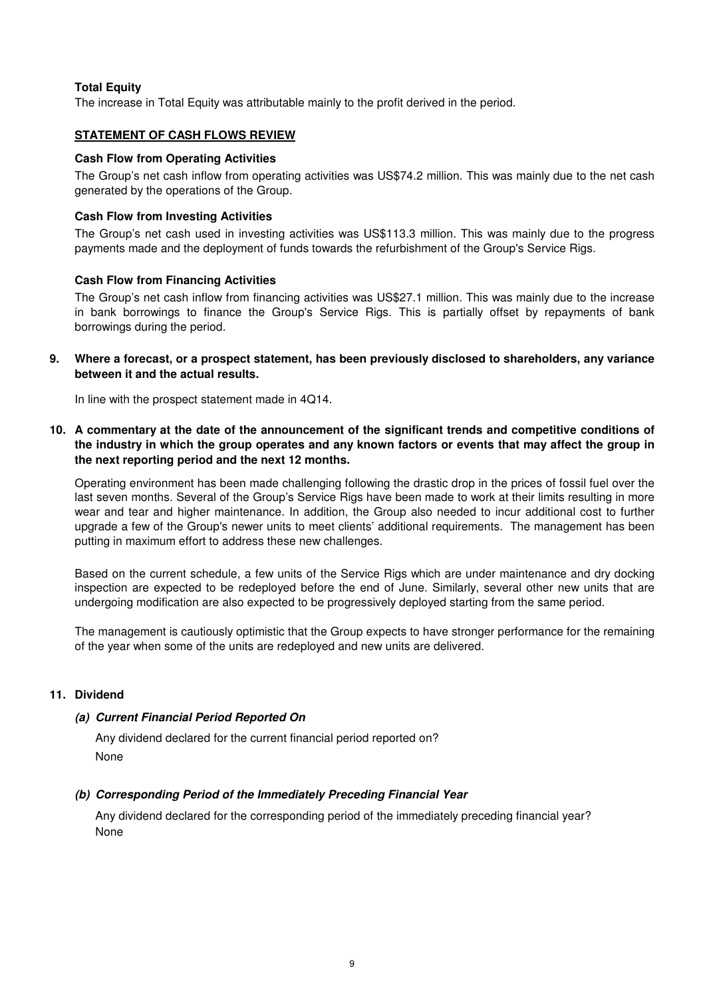## **Total Equity**

The increase in Total Equity was attributable mainly to the profit derived in the period.

## **STATEMENT OF CASH FLOWS REVIEW**

### **Cash Flow from Operating Activities**

The Group's net cash inflow from operating activities was US\$74.2 million. This was mainly due to the net cash generated by the operations of the Group.

## **Cash Flow from Investing Activities**

The Group's net cash used in investing activities was US\$113.3 million. This was mainly due to the progress payments made and the deployment of funds towards the refurbishment of the Group's Service Rigs.

### **Cash Flow from Financing Activities**

The Group's net cash inflow from financing activities was US\$27.1 million. This was mainly due to the increase in bank borrowings to finance the Group's Service Rigs. This is partially offset by repayments of bank borrowings during the period.

**9. Where a forecast, or a prospect statement, has been previously disclosed to shareholders, any variance between it and the actual results.**

In line with the prospect statement made in 4Q14.

**10. A commentary at the date of the announcement of the significant trends and competitive conditions of the industry in which the group operates and any known factors or events that may affect the group in the next reporting period and the next 12 months.**

Operating environment has been made challenging following the drastic drop in the prices of fossil fuel over the last seven months. Several of the Group's Service Rigs have been made to work at their limits resulting in more wear and tear and higher maintenance. In addition, the Group also needed to incur additional cost to further upgrade a few of the Group's newer units to meet clients' additional requirements. The management has been putting in maximum effort to address these new challenges.

Based on the current schedule, a few units of the Service Rigs which are under maintenance and dry docking inspection are expected to be redeployed before the end of June. Similarly, several other new units that are undergoing modification are also expected to be progressively deployed starting from the same period.

The management is cautiously optimistic that the Group expects to have stronger performance for the remaining of the year when some of the units are redeployed and new units are delivered.

## **11. Dividend**

## **(a) Current Financial Period Reported On**

Any dividend declared for the current financial period reported on? None

## **(b) Corresponding Period of the Immediately Preceding Financial Year**

None Any dividend declared for the corresponding period of the immediately preceding financial year?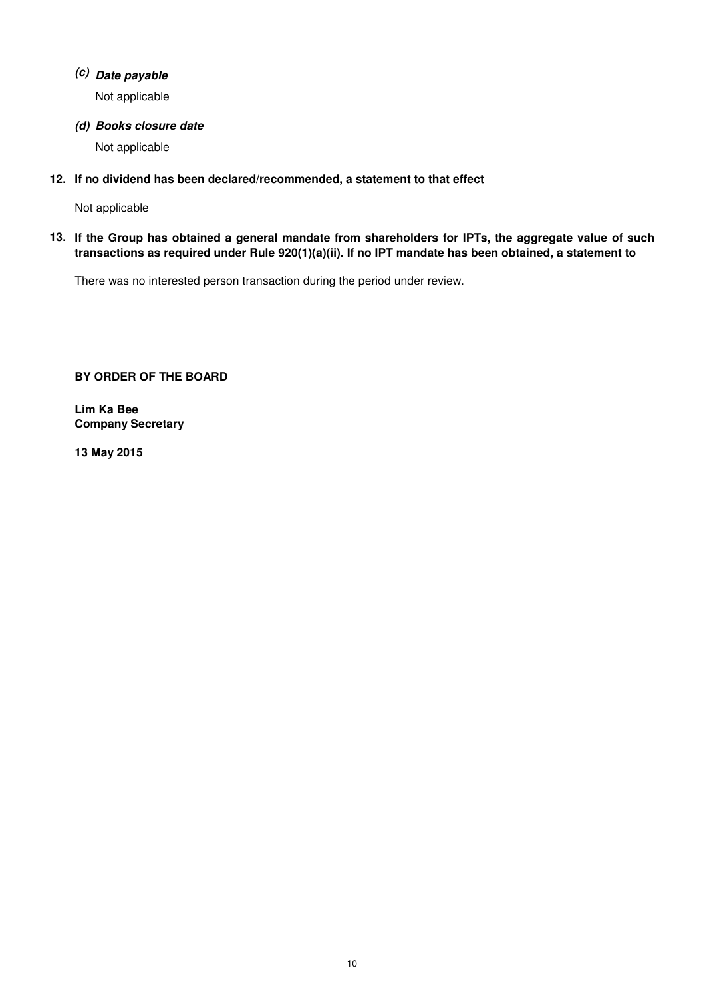## **(c) Date payable**

Not applicable

**(d) Books closure date**

Not applicable

## **12. If no dividend has been declared/recommended, a statement to that effect**

Not applicable

**13. If the Group has obtained a general mandate from shareholders for IPTs, the aggregate value of such transactions as required under Rule 920(1)(a)(ii). If no IPT mandate has been obtained, a statement to**

There was no interested person transaction during the period under review.

**BY ORDER OF THE BOARD**

**Lim Ka Bee Company Secretary**

**13 May 2015**